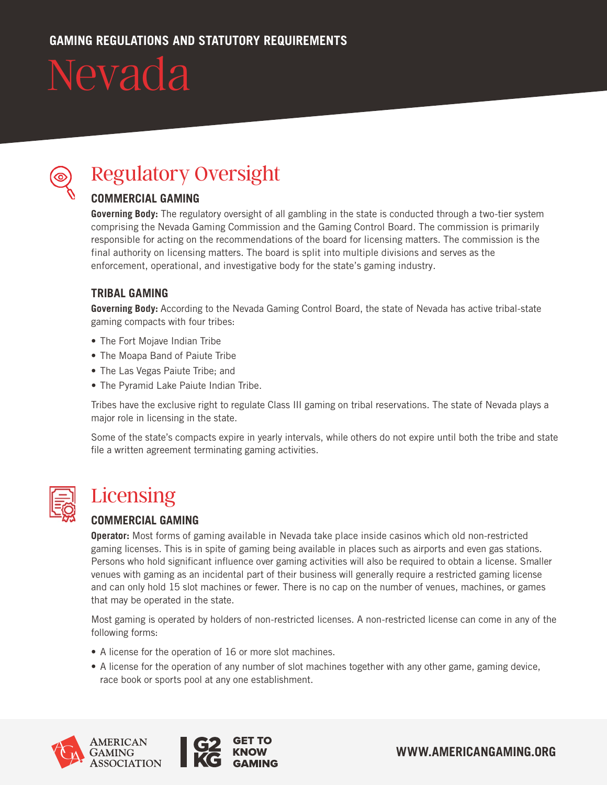

### Regulatory Oversight

#### **COMMERCIAL GAMING**

**Governing Body:** The regulatory oversight of all gambling in the state is conducted through a two-tier system comprising the Nevada Gaming Commission and the Gaming Control Board. The commission is primarily responsible for acting on the recommendations of the board for licensing matters. The commission is the final authority on licensing matters. The board is split into multiple divisions and serves as the enforcement, operational, and investigative body for the state's gaming industry.

#### **TRIBAL GAMING**

**Governing Body:** According to the Nevada Gaming Control Board, the state of Nevada has active tribal-state gaming compacts with four tribes:

- The Fort Mojave Indian Tribe
- The Moapa Band of Paiute Tribe
- The Las Vegas Paiute Tribe; and
- The Pyramid Lake Paiute Indian Tribe.

Tribes have the exclusive right to regulate Class III gaming on tribal reservations. The state of Nevada plays a major role in licensing in the state.

Some of the state's compacts expire in yearly intervals, while others do not expire until both the tribe and state file a written agreement terminating gaming activities.



### **Licensing**

#### **COMMERCIAL GAMING**

**Operator:** Most forms of gaming available in Nevada take place inside casinos which old non-restricted gaming licenses. This is in spite of gaming being available in places such as airports and even gas stations. Persons who hold significant influence over gaming activities will also be required to obtain a license. Smaller venues with gaming as an incidental part of their business will generally require a restricted gaming license and can only hold 15 slot machines or fewer. There is no cap on the number of venues, machines, or games that may be operated in the state.

Most gaming is operated by holders of non-restricted licenses. A non-restricted license can come in any of the following forms:

- A license for the operation of 16 or more slot machines.
- A license for the operation of any number of slot machines together with any other game, gaming device, race book or sports pool at any one establishment.



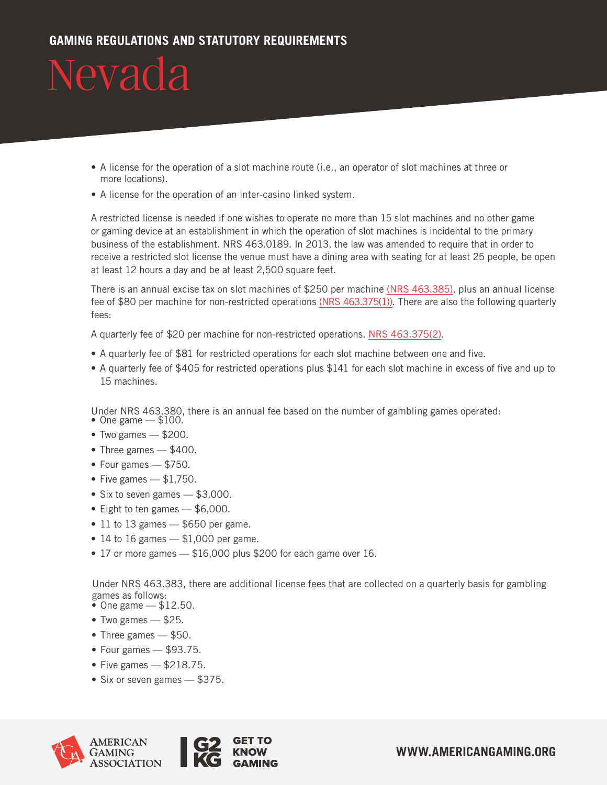- A license for the operation of a slot machine route (i.e., an operator of slot machines at three or more locations).
- A license for the operation of an inter-casino linked system.

A restricted license is needed if one wishes to operate no more than 15 slot machines and no other game or gaming device at an establishment in which the operation of slot machines is incidental to the primary business of the establishment. NRS 463.0189. In 2013, the law was amended to require that in order to receive a restricted slot license the venue must have a dining area with seating for at least 25 people, be open at least 12 hours a day and be at least 2,500 square feet.

There is an annual excise tax on slot machines of \$250 per machine (NRS [463.385\),](https://www.leg.state.nv.us/NRS/NRS-463.html) plus an annual license fee of \$80 per machine for non-restricted operations (NRS [463.375\(1\)\).](https://www.leg.state.nv.us/NRS/NRS-463.html) There are also the following quarterly fees:

A quarterly fee of \$20 per machine for non-restricted operations. NRS [463.375\(2\).](https://www.leg.state.nv.us/NRS/NRS-463.html)

- A quarterly fee of \$81 for restricted operations for each slot machine between one and five.
- A quarterly fee of \$405 for restricted operations plus \$141 for each slot machine in excess of five and up to 15 machines.

Under NRS 463.380, there is an annual fee based on the number of gambling games operated: • One game  $-$  \$100.

- Two games \$200.
- Three games \$400.
- Four games \$750.
- Five games  $-$  \$1,750.
- Six to seven games \$3,000.
- Eight to ten games \$6,000.
- $\cdot$  11 to 13 games  $-$  \$650 per game.
- 14 to 16 games  $-$  \$1,000 per game.
- 17 or more games \$16,000 plus \$200 for each game over 16.

Under NRS 463.383, there are additional license fees that are collected on a quarterly basis for gambling games as follows:

- $\bullet$  One game  $-$  \$12.50.
- Two games \$25.
- Three games \$50.
- Four games \$93.75.
- Five games  $-$  \$218.75.
- Six or seven games \$375.



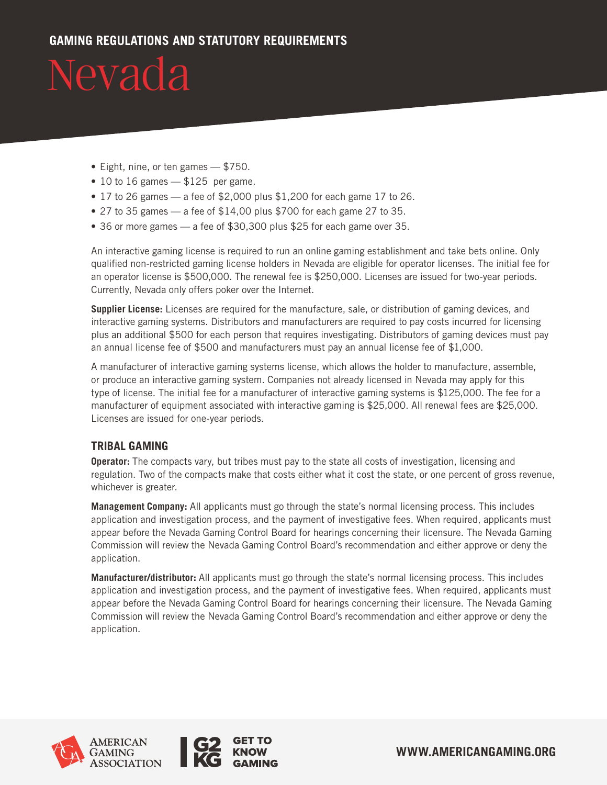#### **GAMING REGULATIONS AND STATUTORY REQUIREMENTS**

# Nevada

- Eight, nine, or ten games \$750.
- $\cdot$  10 to 16 games  $-$  \$125 per game.
- 17 to 26 games a fee of \$2,000 plus \$1,200 for each game 17 to 26.
- 27 to 35 games  $-$  a fee of \$14,00 plus \$700 for each game 27 to 35.
- 36 or more games a fee of \$30,300 plus \$25 for each game over 35.

An interactive gaming license is required to run an online gaming establishment and take bets online. Only qualified non-restricted gaming license holders in Nevada are eligible for operator licenses. The initial fee for an operator license is \$500,000. The renewal fee is \$250,000. Licenses are issued for two-year periods. Currently, Nevada only offers poker over the Internet.

**Supplier License:** Licenses are required for the manufacture, sale, or distribution of gaming devices, and interactive gaming systems. Distributors and manufacturers are required to pay costs incurred for licensing plus an additional \$500 for each person that requires investigating. Distributors of gaming devices must pay an annual license fee of \$500 and manufacturers must pay an annual license fee of \$1,000.

A manufacturer of interactive gaming systems license, which allows the holder to manufacture, assemble, or produce an interactive gaming system. Companies not already licensed in Nevada may apply for this type of license. The initial fee for a manufacturer of interactive gaming systems is \$125,000. The fee for a manufacturer of equipment associated with interactive gaming is \$25,000. All renewal fees are \$25,000. Licenses are issued for one-year periods.

#### **TRIBAL GAMING**

**Operator:** The compacts vary, but tribes must pay to the state all costs of investigation, licensing and regulation. Two of the compacts make that costs either what it cost the state, or one percent of gross revenue, whichever is greater.

**Management Company:** All applicants must go through the state's normal licensing process. This includes application and investigation process, and the payment of investigative fees. When required, applicants must appear before the Nevada Gaming Control Board for hearings concerning their licensure. The Nevada Gaming Commission will review the Nevada Gaming Control Board's recommendation and either approve or deny the application.

**Manufacturer/distributor:** All applicants must go through the state's normal licensing process. This includes application and investigation process, and the payment of investigative fees. When required, applicants must appear before the Nevada Gaming Control Board for hearings concerning their licensure. The Nevada Gaming Commission will review the Nevada Gaming Control Board's recommendation and either approve or deny the application.



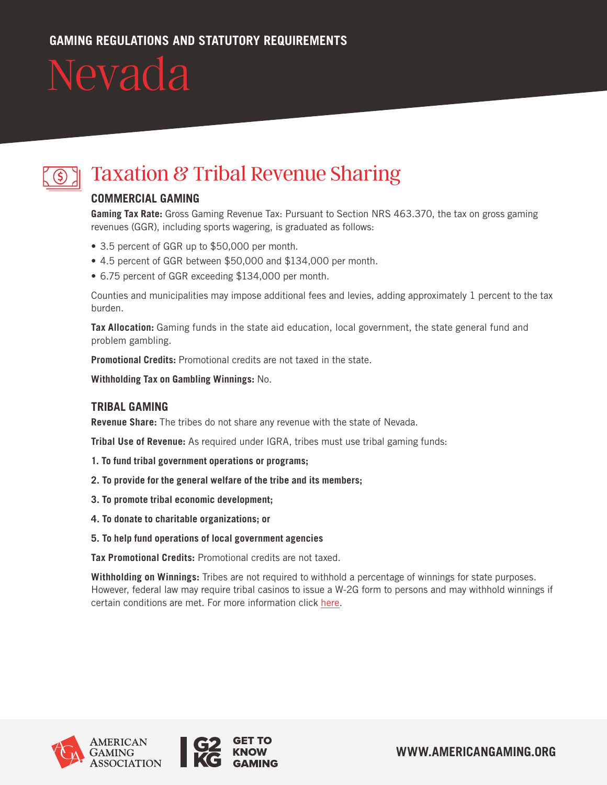

### Taxation & Tribal Revenue Sharing

#### **COMMERCIAL GAMING**

**Gaming Tax Rate:** Gross Gaming Revenue Tax: Pursuant to Section NRS 463.370, the tax on gross gaming revenues (GGR), including sports wagering, is graduated as follows:

- 3.5 percent of GGR up to \$50,000 per month.
- 4.5 percent of GGR between \$50,000 and \$134,000 per month.
- 6.75 percent of GGR exceeding \$134,000 per month.

Counties and municipalities may impose additional fees and levies, adding approximately 1 percent to the tax burden.

**Tax Allocation:** Gaming funds in the state aid education, local government, the state general fund and problem gambling.

**Promotional Credits:** Promotional credits are not taxed in the state.

**Withholding Tax on Gambling Winnings:** No.

#### **TRIBAL GAMING**

**Revenue Share:** The tribes do not share any revenue with the state of Nevada.

**Tribal Use of Revenue:** As required under IGRA, tribes must use tribal gaming funds:

- **1. To fund tribal government operations or programs;**
- **2. To provide for the general welfare of the tribe and its members;**
- **3. To promote tribal economic development;**
- **4. To donate to charitable organizations; or**
- **5. To help fund operations of local government agencies**

**Tax Promotional Credits:** Promotional credits are not taxed.

**Withholding on Winnings:** Tribes are not required to withhold a percentage of winnings for state purposes. However, federal law may require tribal casinos to issue a W-2G form to persons and may withhold winnings if certain conditions are met. For more information click [here](https://www.irs.gov/publications/p505#en_US_2015_publink1000194506).





**WWW.AMERICANGAMING.ORG**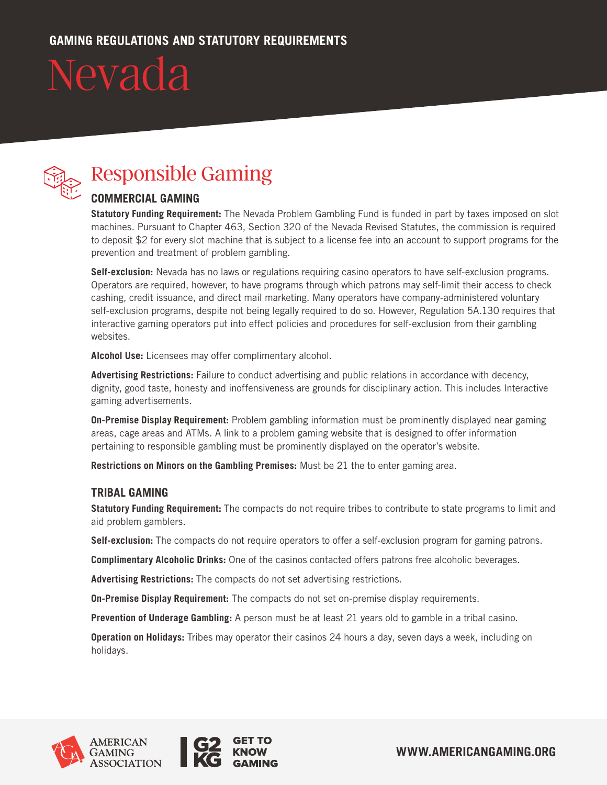

### Responsible Gaming

#### **COMMERCIAL GAMING**

**Statutory Funding Requirement:** The Nevada Problem Gambling Fund is funded in part by taxes imposed on slot machines. Pursuant to Chapter 463, Section 320 of the Nevada Revised Statutes, the commission is required to deposit \$2 for every slot machine that is subject to a license fee into an account to support programs for the prevention and treatment of problem gambling.

**Self-exclusion:** Nevada has no laws or regulations requiring casino operators to have self-exclusion programs. Operators are required, however, to have programs through which patrons may self-limit their access to check cashing, credit issuance, and direct mail marketing. Many operators have company-administered voluntary self-exclusion programs, despite not being legally required to do so. However, Regulation 5A.130 requires that interactive gaming operators put into effect policies and procedures for self-exclusion from their gambling websites.

**Alcohol Use:** Licensees may offer complimentary alcohol.

**Advertising Restrictions:** Failure to conduct advertising and public relations in accordance with decency, dignity, good taste, honesty and inoffensiveness are grounds for disciplinary action. This includes Interactive gaming advertisements.

**On-Premise Display Requirement:** Problem gambling information must be prominently displayed near gaming areas, cage areas and ATMs. A link to a problem gaming website that is designed to offer information pertaining to responsible gambling must be prominently displayed on the operator's website.

**Restrictions on Minors on the Gambling Premises:** Must be 21 the to enter gaming area.

#### **TRIBAL GAMING**

**Statutory Funding Requirement:** The compacts do not require tribes to contribute to state programs to limit and aid problem gamblers.

**Self-exclusion:** The compacts do not require operators to offer a self-exclusion program for gaming patrons.

**Complimentary Alcoholic Drinks:** One of the casinos contacted offers patrons free alcoholic beverages.

**Advertising Restrictions:** The compacts do not set advertising restrictions.

**On-Premise Display Requirement:** The compacts do not set on-premise display requirements.

**Prevention of Underage Gambling:** A person must be at least 21 years old to gamble in a tribal casino.

**Operation on Holidays:** Tribes may operator their casinos 24 hours a day, seven days a week, including on holidays.



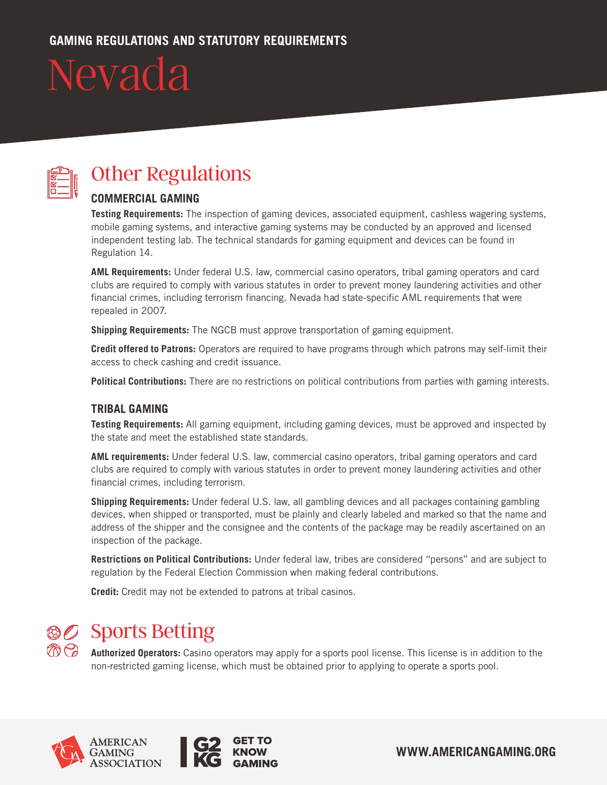

### Other Regulations

#### **COMMERCIAL GAMING**

**Testing Requirements:** The inspection of gaming devices, associated equipment, cashless wagering systems, mobile gaming systems, and interactive gaming systems may be conducted by an approved and licensed independent testing lab. The technical standards for gaming equipment and devices can be found in Regulation 14.

**AML Requirements:** Under federal U.S. law, commercial casino operators, tribal gaming operators and card clubs are required to comply with various statutes in order to prevent money laundering activities and other financial crimes, including terrorism financing. Nevada had state-specific AML requirements that were repealed in 2007.

**Shipping Requirements:** The NGCB must approve transportation of gaming equipment.

**Credit offered to Patrons:** Operators are required to have programs through which patrons may self-limit their access to check cashing and credit issuance.

**Political Contributions:** There are no restrictions on political contributions from parties with gaming interests.

#### **TRIBAL GAMING**

**Testing Requirements:** All gaming equipment, including gaming devices, must be approved and inspected by the state and meet the established state standards.

**AML requirements:** Under federal U.S. law, commercial casino operators, tribal gaming operators and card clubs are required to comply with various statutes in order to prevent money laundering activities and other financial crimes, including terrorism.

**Shipping Requirements:** Under federal U.S. law, all gambling devices and all packages containing gambling devices, when shipped or transported, must be plainly and clearly labeled and marked so that the name and address of the shipper and the consignee and the contents of the package may be readily ascertained on an inspection of the package.

**Restrictions on Political Contributions:** Under federal law, tribes are considered "persons" and are subject to regulation by the Federal Election Commission when making federal contributions.

**Credit:** Credit may not be extended to patrons at tribal casinos.

### **Sports Betting**

**Authorized Operators:** Casino operators may apply for a sports pool license. This license is in addition to the non-restricted gaming license, which must be obtained prior to applying to operate a sports pool.